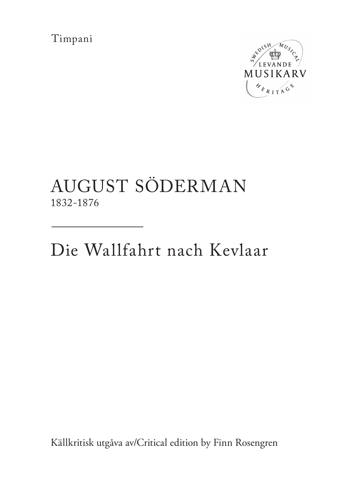Timpani



## AUGUST SÖDERMAN 1832-1876

Die Wallfahrt nach Kevlaar

Källkritisk utgåva av/Critical edition by Finn Rosengren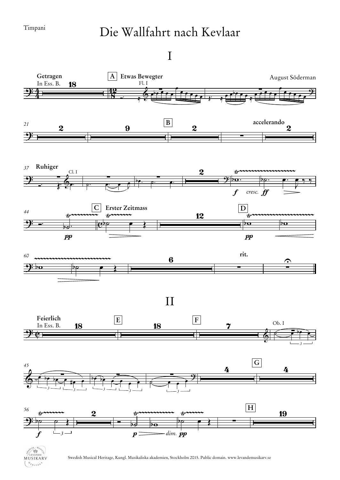MUSIKARV  $\left( \begin{array}{c} \mathcal{B}_{k_{1}+1} & \mathcal{B}_{k_{2}+1} \\ \mathcal{B}_{k_{1}+1} & \mathcal{B}_{k_{2}+1} \end{array} \right)$ 

## Die Wallfahrt nach Kevlaar

I



Swedish Musical Heritage, Kungl. Musikaliska akademien, Stockholm 2015. Public domain. www.levandemusikarv.se